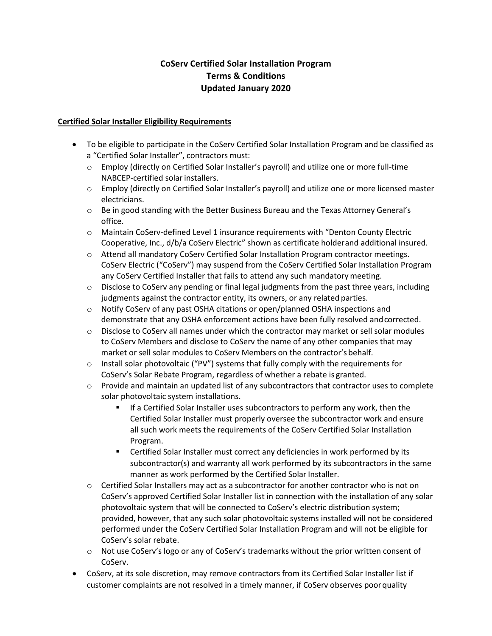# **CoServ Certified Solar Installation Program Terms & Conditions Updated January 2020**

### **Certified Solar Installer Eligibility Requirements**

- To be eligible to participate in the CoServ Certified Solar Installation Program and be classified as a "Certified Solar Installer", contractors must:
	- o Employ (directly on Certified Solar Installer's payroll) and utilize one or more full-time NABCEP-certified solar installers.
	- o Employ (directly on Certified Solar Installer's payroll) and utilize one or more licensed master electricians.
	- $\circ$  Be in good standing with the Better Business Bureau and the Texas Attorney General's office.
	- $\circ$  Maintain CoServ-defined Level 1 insurance requirements with "Denton County Electric Cooperative, Inc., d/b/a CoServ Electric" shown as certificate holderand additional insured.
	- o Attend all mandatory CoServ Certified Solar Installation Program contractor meetings. CoServ Electric ("CoServ") may suspend from the CoServ Certified Solar Installation Program any CoServ Certified Installer that fails to attend any such mandatory meeting.
	- $\circ$  Disclose to CoServ any pending or final legal judgments from the past three years, including judgments against the contractor entity, its owners, or any related parties.
	- o Notify CoServ of any past OSHA citations or open/planned OSHA inspections and demonstrate that any OSHA enforcement actions have been fully resolved andcorrected.
	- o Disclose to CoServ all names under which the contractor may market or sell solar modules to CoServ Members and disclose to CoServ the name of any other companies that may market or sell solar modules to CoServ Members on the contractor's behalf.
	- $\circ$  Install solar photovoltaic ("PV") systems that fully comply with the requirements for CoServ's Solar Rebate Program, regardless of whether a rebate is granted.
	- $\circ$  Provide and maintain an updated list of any subcontractors that contractor uses to complete solar photovoltaic system installations.
		- If a Certified Solar Installer uses subcontractors to perform any work, then the Certified Solar Installer must properly oversee the subcontractor work and ensure all such work meets the requirements of the CoServ Certified Solar Installation Program.
		- **EXECTE:** Certified Solar Installer must correct any deficiencies in work performed by its subcontractor(s) and warranty all work performed by its subcontractors in the same manner as work performed by the Certified Solar Installer.
	- $\circ$  Certified Solar Installers may act as a subcontractor for another contractor who is not on CoServ's approved Certified Solar Installer list in connection with the installation of any solar photovoltaic system that will be connected to CoServ's electric distribution system; provided, however, that any such solar photovoltaic systems installed will not be considered performed under the CoServ Certified Solar Installation Program and will not be eligible for CoServ's solar rebate.
	- o Not use CoServ's logo or any of CoServ's trademarks without the prior written consent of CoServ.
- CoServ, at its sole discretion, may remove contractors from its Certified Solar Installer list if customer complaints are not resolved in a timely manner, if CoServ observes poorquality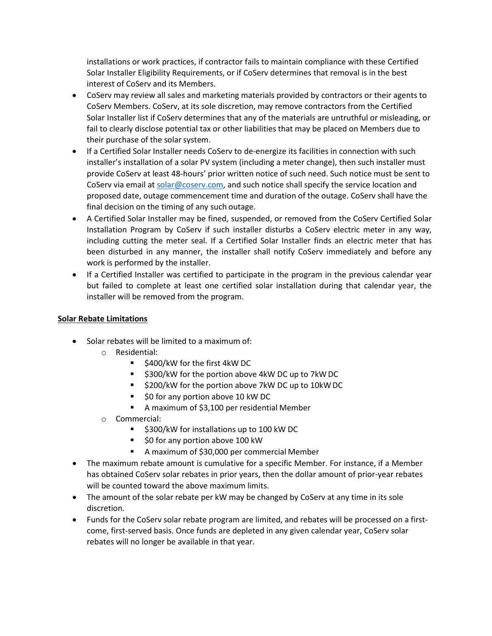installations or work practices, if contractor fails to maintain compliance with these Certified Solar Installer Eligibility Requirements, or if CoServ determines that removal is in the best interest of CoServ and its Members.

- CoServ may review all sales and marketing materials provided by contractors or their agents to CoServ Members. CoServ, at its sole discretion, may remove contractors from the Certified Solar Installer list if CoServ determines that any of the materials are untruthful or misleading, or fail to clearly disclose potential tax or other liabilities that may be placed on Members due to their purchase of the solar system.
- If a Certified Solar Installer needs CoServ to de-energize its facilities in connection with such installer's installation of a solar PV system (including a meter change), then such installer must provide CoServ at least 48-hours' prior written notice of such need. Such notice must be sent to CoServ via email at [solar@coserv.com, a](mailto:solar@coserv.com)nd such notice shall specify the service location and proposed date, outage commencement time and duration of the outage. CoServ shall have the final decision on the timing of any such outage.
- A Certified Solar Installer may be fined, suspended, or removed from the CoServ Certified Solar Installation Program by CoServ if such installer disturbs a CoServ electric meter in any way, including cutting the meter seal. If a Certified Solar Installer finds an electric meter that has been disturbed in any manner, the installer shall notify CoServ immediately and before any work is performed by the installer.
- If a Certified Installer was certified to participate in the program in the previous calendar year but failed to complete at least one certified solar installation during that calendar year, the installer will be removed from the program.

## **Solar Rebate Limitations**

- Solar rebates will be limited to a maximum of:
	- o Residential:
		- $\blacksquare$  \$400/kW for the first 4kW DC
		- \$300/kW for the portion above 4kW DC up to 7kW DC
		- \$200/kW for the portion above 7kW DC up to 10kW DC
		- \$0 for any portion above 10 kW DC
		- A maximum of \$3,100 per residential Member
	- o Commercial:
		- **5300/kW for installations up to 100 kW DC**
		- \$0 for any portion above 100 kW
		- A maximum of \$30,000 per commercial Member
- The maximum rebate amount is cumulative for a specific Member. For instance, if a Member has obtained CoServ solar rebates in prior years, then the dollar amount of prior-year rebates will be counted toward the above maximum limits.
- The amount of the solar rebate per kW may be changed by CoServ at any time in its sole discretion.
- Funds for the CoServ solar rebate program are limited, and rebates will be processed on a firstcome, first-served basis. Once funds are depleted in any given calendar year, CoServ solar rebates will no longer be available in that year.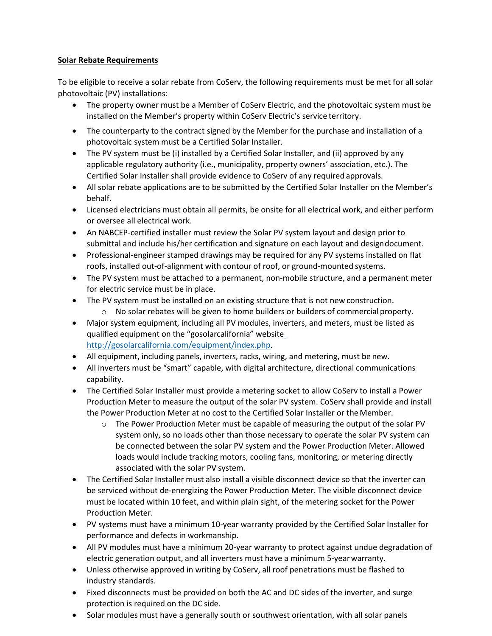## **Solar Rebate Requirements**

To be eligible to receive a solar rebate from CoServ, the following requirements must be met for all solar photovoltaic (PV) installations:

- The property owner must be a Member of CoServ Electric, and the photovoltaic system must be installed on the Member's property within CoServ Electric's service territory.
- The counterparty to the contract signed by the Member for the purchase and installation of a photovoltaic system must be a Certified Solar Installer.
- The PV system must be (i) installed by a Certified Solar Installer, and (ii) approved by any applicable regulatory authority (i.e., municipality, property owners' association, etc.). The Certified Solar Installer shall provide evidence to CoServ of any required approvals.
- All solar rebate applications are to be submitted by the Certified Solar Installer on the Member's behalf.
- Licensed electricians must obtain all permits, be onsite for all electrical work, and either perform or oversee all electrical work.
- An NABCEP-certified installer must review the Solar PV system layout and design prior to submittal and include his/her certification and signature on each layout and designdocument.
- Professional-engineer stamped drawings may be required for any PV systems installed on flat roofs, installed out-of-alignment with contour of roof, or ground-mounted systems.
- The PV system must be attached to a permanent, non-mobile structure, and a permanent meter for electric service must be in place.
- The PV system must be installed on an existing structure that is not new construction.
	- o No solar rebates will be given to home builders or builders of commercial property.
- Major system equipment, including all PV modules, inverters, and meters, must be listed as qualified equipment on the "gosolarcalifornia" websit[e](http://gosolarcalifornia.com/equipment/index.php) [http://gosolarcalifornia.com/equipment/index.php.](http://gosolarcalifornia.com/equipment/index.php)
- All equipment, including panels, inverters, racks, wiring, and metering, must be new.
- All inverters must be "smart" capable, with digital architecture, directional communications capability.
- The Certified Solar Installer must provide a metering socket to allow CoServ to install a Power Production Meter to measure the output of the solar PV system. CoServ shall provide and install the Power Production Meter at no cost to the Certified Solar Installer or the Member.
	- $\circ$  The Power Production Meter must be capable of measuring the output of the solar PV system only, so no loads other than those necessary to operate the solar PV system can be connected between the solar PV system and the Power Production Meter. Allowed loads would include tracking motors, cooling fans, monitoring, or metering directly associated with the solar PV system.
- The Certified Solar Installer must also install a visible disconnect device so that the inverter can be serviced without de-energizing the Power Production Meter. The visible disconnect device must be located within 10 feet, and within plain sight, of the metering socket for the Power Production Meter.
- PV systems must have a minimum 10-year warranty provided by the Certified Solar Installer for performance and defects in workmanship.
- All PV modules must have a minimum 20-year warranty to protect against undue degradation of electric generation output, and all inverters must have a minimum 5-yearwarranty.
- Unless otherwise approved in writing by CoServ, all roof penetrations must be flashed to industry standards.
- Fixed disconnects must be provided on both the AC and DC sides of the inverter, and surge protection is required on the DC side.
- Solar modules must have a generally south or southwest orientation, with all solar panels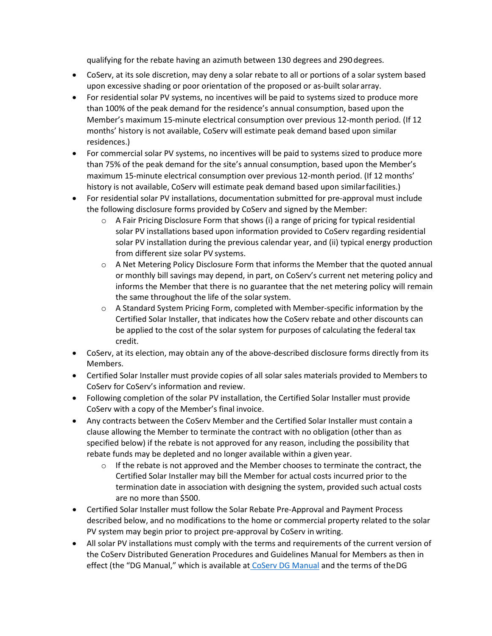qualifying for the rebate having an azimuth between 130 degrees and 290 degrees.

- CoServ, at its sole discretion, may deny a solar rebate to all or portions of a solar system based upon excessive shading or poor orientation of the proposed or as-built solararray.
- For residential solar PV systems, no incentives will be paid to systems sized to produce more than 100% of the peak demand for the residence's annual consumption, based upon the Member's maximum 15-minute electrical consumption over previous 12-month period. (If 12 months' history is not available, CoServ will estimate peak demand based upon similar residences.)
- For commercial solar PV systems, no incentives will be paid to systems sized to produce more than 75% of the peak demand for the site's annual consumption, based upon the Member's maximum 15-minute electrical consumption over previous 12-month period. (If 12 months' history is not available, CoServ will estimate peak demand based upon similarfacilities.)
- For residential solar PV installations, documentation submitted for pre-approval must include the following disclosure forms provided by CoServ and signed by the Member:
	- $\circ$  A Fair Pricing Disclosure Form that shows (i) a range of pricing for typical residential solar PV installations based upon information provided to CoServ regarding residential solar PV installation during the previous calendar year, and (ii) typical energy production from different size solar PV systems.
	- $\circ$  A Net Metering Policy Disclosure Form that informs the Member that the quoted annual or monthly bill savings may depend, in part, on CoServ's current net metering policy and informs the Member that there is no guarantee that the net metering policy will remain the same throughout the life of the solar system.
	- $\circ$  A Standard System Pricing Form, completed with Member-specific information by the Certified Solar Installer, that indicates how the CoServ rebate and other discounts can be applied to the cost of the solar system for purposes of calculating the federal tax credit.
- CoServ, at its election, may obtain any of the above-described disclosure forms directly from its Members.
- Certified Solar Installer must provide copies of all solar sales materials provided to Members to CoServ for CoServ's information and review.
- Following completion of the solar PV installation, the Certified Solar Installer must provide CoServ with a copy of the Member's final invoice.
- Any contracts between the CoServ Member and the Certified Solar Installer must contain a clause allowing the Member to terminate the contract with no obligation (other than as specified below) if the rebate is not approved for any reason, including the possibility that rebate funds may be depleted and no longer available within a given year.
	- $\circ$  If the rebate is not approved and the Member chooses to terminate the contract, the Certified Solar Installer may bill the Member for actual costs incurred prior to the termination date in association with designing the system, provided such actual costs are no more than \$500.
- Certified Solar Installer must follow the Solar Rebate Pre-Approval and Payment Process described below, and no modifications to the home or commercial property related to the solar PV system may begin prior to project pre-approval by CoServ in writing.
- All solar PV installations must comply with the terms and requirements of the current version of the CoServ Distributed Generation Procedures and Guidelines Manual for Members as then in effect (the "DG Manual," which is available at [CoServ DG Manual](https://www.coserv.com/Portals/0/PDFs/Distributed_Generation_Manual.pdf) and the terms of theDG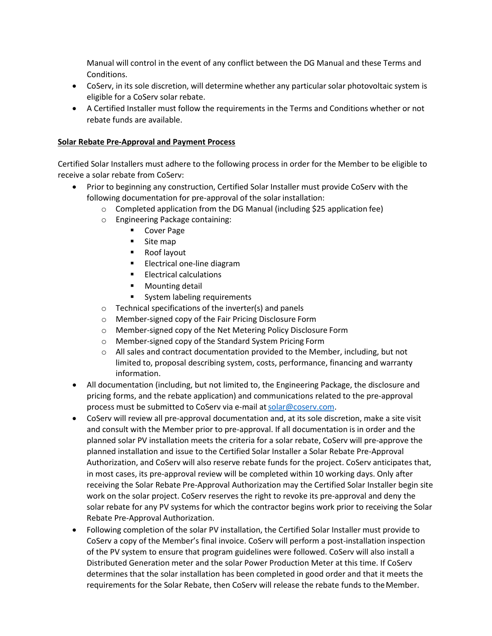Manual will control in the event of any conflict between the DG Manual and these Terms and Conditions.

- CoServ, in its sole discretion, will determine whether any particular solar photovoltaic system is eligible for a CoServ solar rebate.
- A Certified Installer must follow the requirements in the Terms and Conditions whether or not rebate funds are available.

## **Solar Rebate Pre-Approval and Payment Process**

Certified Solar Installers must adhere to the following process in order for the Member to be eligible to receive a solar rebate from CoServ:

- Prior to beginning any construction, Certified Solar Installer must provide CoServ with the following documentation for pre-approval of the solar installation:
	- $\circ$  Completed application from the DG Manual (including \$25 application fee)
	- o Engineering Package containing:
		- Cover Page
		- Site map
		- Roof layout
		- **Electrical one-line diagram**
		- **Electrical calculations**
		- **Mounting detail**
		- System labeling requirements
	- o Technical specifications of the inverter(s) and panels
	- o Member-signed copy of the Fair Pricing Disclosure Form
	- o Member-signed copy of the Net Metering Policy Disclosure Form
	- o Member-signed copy of the Standard System Pricing Form
	- $\circ$  All sales and contract documentation provided to the Member, including, but not limited to, proposal describing system, costs, performance, financing and warranty information.
- All documentation (including, but not limited to, the Engineering Package, the disclosure and pricing forms, and the rebate application) and communications related to the pre-approval process must be submitted to CoServ via e-mail at solar@coserv.com.
- CoServ will review all pre-approval documentation and, at its sole discretion, make a site visit and consult with the Member prior to pre-approval. If all documentation is in order and the planned solar PV installation meets the criteria for a solar rebate, CoServ will pre-approve the planned installation and issue to the Certified Solar Installer a Solar Rebate Pre-Approval Authorization, and CoServ will also reserve rebate funds for the project. CoServ anticipates that, in most cases, its pre-approval review will be completed within 10 working days. Only after receiving the Solar Rebate Pre-Approval Authorization may the Certified Solar Installer begin site work on the solar project. CoServ reserves the right to revoke its pre-approval and deny the solar rebate for any PV systems for which the contractor begins work prior to receiving the Solar Rebate Pre-Approval Authorization.
- Following completion of the solar PV installation, the Certified Solar Installer must provide to CoServ a copy of the Member's final invoice. CoServ will perform a post-installation inspection of the PV system to ensure that program guidelines were followed. CoServ will also install a Distributed Generation meter and the solar Power Production Meter at this time. If CoServ determines that the solar installation has been completed in good order and that it meets the requirements for the Solar Rebate, then CoServ will release the rebate funds to theMember.